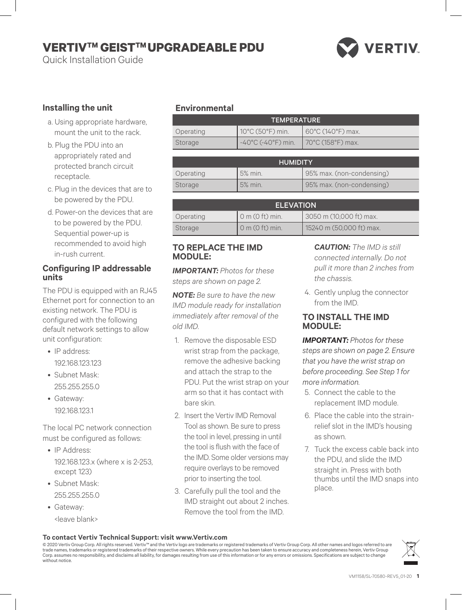# **VERTIVTM GEISTTM UPGRADEABLE PDU**

Quick Installation Guide



## **Installing the unit**

- a. Using appropriate hardware, mount the unit to the rack.
- b. Plug the PDU into an appropriately rated and protected branch circuit receptacle.
- c. Plug in the devices that are to be powered by the PDU.
- d. Power-on the devices that are to be powered by the PDU. Sequential power-up is recommended to avoid high in-rush current.

#### **Configuring IP addressable units**

The PDU is equipped with an RJ45 Ethernet port for connection to an existing network. The PDU is configured with the following default network settings to allow unit configuration:

- IP address: 192.168.123.123
- Subnet Mask: 255.255.255.0
- Gateway: 192.168.123.1

The local PC network connection must be configured as follows:

- IP Address: 192.168.123.x (where x is 2-253, except 123)
- Subnet Mask: 255.255.255.0
- Gateway:
	- <leave blank>

## **Environmental**

| <b>TEMPERATURE</b> |                                                  |                                         |
|--------------------|--------------------------------------------------|-----------------------------------------|
| Operating          | 10°C (50°F) min.                                 | $160^{\circ}$ C (140 $^{\circ}$ F) max. |
| Storage            | $-40^{\circ}$ C (-40°F) min.   70°C (158°F) max. |                                         |

| <b>HUMIDITY</b> |         |                           |
|-----------------|---------|---------------------------|
| Operating       | 5% min. | 95% max. (non-condensing) |
| Storage         | 5% min. | 95% max. (non-condensing) |

| <b>ELEVATION</b> |                     |                          |
|------------------|---------------------|--------------------------|
| Operating        | $0$ m $(0$ ft) min. | 3050 m (10,000 ft) max.  |
| Storage          | $0$ m $(0$ ft) min. | 15240 m (50,000 ft) max. |

## **TO REPLACE THE IMD MODULE:**

*IMPORTANT: Photos for these steps are shown on page 2.*

*NOTE: Be sure to have the new IMD module ready for installation immediately after removal of the old IMD.*

- 1. Remove the disposable ESD wrist strap from the package, remove the adhesive backing and attach the strap to the PDU. Put the wrist strap on your arm so that it has contact with bare skin.
- 2. Insert the Vertiv IMD Removal Tool as shown. Be sure to press the tool in level, pressing in until the tool is flush with the face of the IMD. Some older versions may require overlays to be removed prior to inserting the tool.
- 3. Carefully pull the tool and the IMD straight out about 2 inches. Remove the tool from the IMD.

*CAUTION: The IMD is still connected internally. Do not pull it more than 2 inches from the chassis.*

4. Gently unplug the connector from the IMD.

## **TO INSTALL THE IMD MODULE:**

*IMPORTANT: Photos for these steps are shown on page 2. Ensure that you have the wrist strap on before proceeding. See Step 1 for more information.*

- 5. Connect the cable to the replacement IMD module.
- 6. Place the cable into the strainrelief slot in the IMD's housing as shown.
- 7. Tuck the excess cable back into the PDU, and slide the IMD straight in. Press with both thumbs until the IMD snaps into place.

#### **To contact Vertiv Technical Support: visit www.Vertiv.com**

© 2020 Vertiv Group Corp. All rights reserved. Vertiv™ and the Vertiv logo are trademarks or registered trademarks of Vertiv Group Corp. All other names and logos referred to are<br>trade names, trademarks or registered trade without notice.

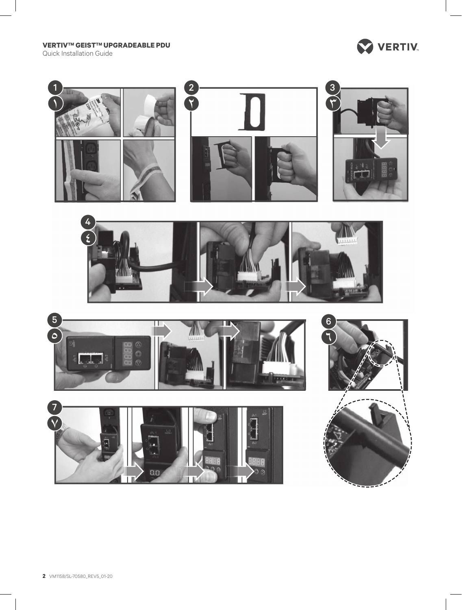**VERTIV™ GEIST™ UPGRADEABLE PDU** 

Quick Installation Guide



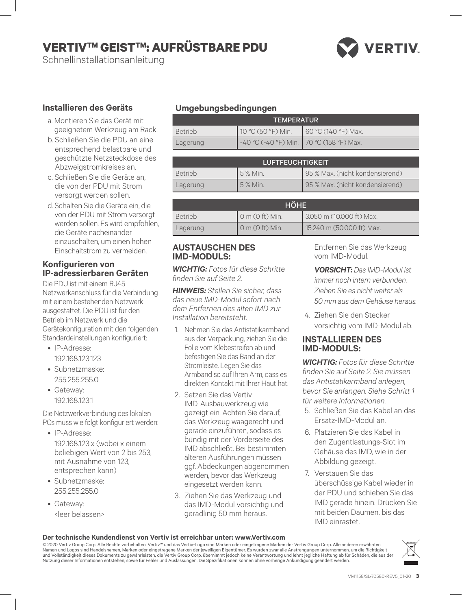# **VERTIVTM GEISTTM: AUFRÜSTBARE PDU**

Schnellinstallationsanleitung

# **VERTIV**

## **Installieren des Geräts**

- a. Montieren Sie das Gerät mit geeignetem Werkzeug am Rack.
- b. Schließen Sie die PDU an eine entsprechend belastbare und geschützte Netzsteckdose des Abzweigstromkreises an.
- c. Schließen Sie die Geräte an, die von der PDU mit Strom versorgt werden sollen.
- d. Schalten Sie die Geräte ein, die von der PDU mit Strom versorgt werden sollen. Es wird empfohlen, die Geräte nacheinander einzuschalten, um einen hohen Einschaltstrom zu vermeiden.

#### **Konfigurieren von IP-adressierbaren Geräten**

Die PDU ist mit einem RJ45- Netzwerkanschluss für die Verbindung mit einem bestehenden Netzwerk ausgestattet. Die PDU ist für den Betrieb im Netzwerk und die Gerätekonfiguration mit den folgenden Standardeinstellungen konfiguriert:

- IP-Adresse: 192.168.123.123
- Subnetzmaske: 255.255.255.0
- Gateway: 192.168.123.1

Die Netzwerkverbindung des lokalen PCs muss wie folgt konfiguriert werden:

- IP-Adresse: 192.168.123.x (wobei x einem beliebigen Wert von 2 bis 253, mit Ausnahme von 123, entsprechen kann)
- Subnetzmaske: 255.255.255.0
- Gateway: <leer belassen>

## **Umgebungsbedingungen**

| <b>TEMPERATUR</b> |                                          |                     |
|-------------------|------------------------------------------|---------------------|
| Betrieb           | 10 °C (50 °F) Min.                       | 60 °C (140 °F) Max. |
| Lagerung          | -40 °C (-40 °F) Min. 70 °C (158 °F) Max. |                     |

| <b>LUFTFEUCHTIGKEIT</b> |          |                                 |
|-------------------------|----------|---------------------------------|
| <b>Betrieb</b>          | 5 % Min. | 95 % Max. (nicht kondensierend) |
| Lagerung                | 5 % Min. | 95 % Max. (nicht kondensierend) |

| <b>HÖHE</b>    |                        |                           |
|----------------|------------------------|---------------------------|
| <b>Betrieb</b> | $\sigma$ m (0 ft) Min. | 3.050 m (10.000 ft) Max.  |
| Lagerung       | $0$ m ( $0$ ft) Min.   | 15.240 m (50.000 ft) Max. |

#### **AUSTAUSCHEN DES IMD-MODULS:**

*WICHTIG: Fotos für diese Schritte finden Sie auf Seite 2.*

*HINWEIS: Stellen Sie sicher, dass das neue IMD-Modul sofort nach dem Entfernen des alten IMD zur Installation bereitsteht.*

- 1. Nehmen Sie das Antistatikarmband aus der Verpackung, ziehen Sie die Folie vom Klebestreifen ab und befestigen Sie das Band an der Stromleiste. Legen Sie das Armband so auf Ihren Arm, dass es direkten Kontakt mit Ihrer Haut hat.
- 2. Setzen Sie das Vertiv IMD-Ausbauwerkzeug wie gezeigt ein. Achten Sie darauf, das Werkzeug waagerecht und gerade einzuführen, sodass es bündig mit der Vorderseite des IMD abschließt. Bei bestimmten älteren Ausführungen müssen ggf. Abdeckungen abgenommen werden, bevor das Werkzeug eingesetzt werden kann.
- 3. Ziehen Sie das Werkzeug und das IMD-Modul vorsichtig und geradlinig 50 mm heraus.

Entfernen Sie das Werkzeug vom IMD-Modul.

- *VORSICHT: Das IMD-Modul ist immer noch intern verbunden. Ziehen Sie es nicht weiter als 50 mm aus dem Gehäuse heraus.*
- 4. Ziehen Sie den Stecker vorsichtig vom IMD-Modul ab.

#### **INSTALLIEREN DES IMD-MODULS:**

*WICHTIG: Fotos für diese Schritte finden Sie auf Seite 2. Sie müssen das Antistatikarmband anlegen, bevor Sie anfangen. Siehe Schritt 1 für weitere Informationen.*

- 5. Schließen Sie das Kabel an das Ersatz-IMD-Modul an.
- 6. Platzieren Sie das Kabel in den Zugentlastungs-Slot im Gehäuse des IMD, wie in der Abbildung gezeigt.
- 7. Verstauen Sie das überschüssige Kabel wieder in der PDU und schieben Sie das IMD gerade hinein. Drücken Sie mit beiden Daumen, bis das IMD einrastet.

#### **Der technische Kundendienst von Vertiv ist erreichbar unter: www.Vertiv.com**

© 2020 Vertiv Group Corp. Alle Rechte vorbehalten. Vertiv™ und das Vertiv-Logo sind Marken oder eingetragene Marken der Vertiv Group Corp. Alle anderen erwähnten Namen und Logos sind Handelsnamen, Marken oder eingetragene Marken der jeweiligen Eigentümer. Es wurden zwar alle Anstrengungen unternommen, um die Richtigkeit<br>und Vollständigkeit dieses Dokuments zu gewährleisten, die Ver Nutzung dieser Informationen entstehen, sowie für Fehler und Auslassungen. Die Spezifikationen können ohne vorherige Ankündigung geändert werden.

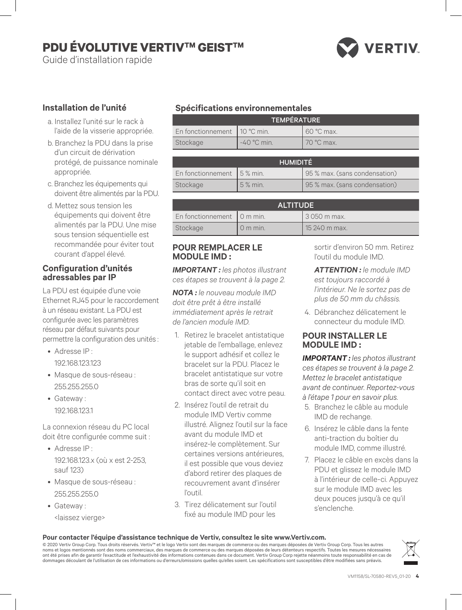# **PDU ÉVOLUTIVE VERTIV™ GEIST™**

Guide d'installation rapide



## **Installation de l'unité**

- a. Installez l'unité sur le rack à l'aide de la visserie appropriée.
- b. Branchez la PDU dans la prise d'un circuit de dérivation protégé, de puissance nominale appropriée.
- c. Branchez les équipements qui doivent être alimentés par la PDU.
- d. Mettez sous tension les équipements qui doivent être alimentés par la PDU. Une mise sous tension séquentielle est recommandée pour éviter tout courant d'appel élevé.

#### **Configuration d'unités adressables par IP**

La PDU est équipée d'une voie Ethernet RJ45 pour le raccordement à un réseau existant. La PDU est configurée avec les paramètres réseau par défaut suivants pour permettre la configuration des unités :

- Adresse IP :
- 192.168.123.123 • Masque de sous-réseau :
	- 255.255.255.0
- Gateway : 192.168.123.1

La connexion réseau du PC local doit être configurée comme suit :

- Adresse IP : 192.168.123.x (où x est 2-253, sauf 123)
- Masque de sous-réseau : 255.255.255.0
- Gateway :
	- <laissez vierge>

## **Spécifications environnementales**

| <b>TEMPÉRATURE</b>             |               |            |
|--------------------------------|---------------|------------|
| En fonctionnement   10 °C min. |               | 60 °C max. |
| Stockage                       | $-40$ °C min. | 70 °C max. |

| <b>HUMIDITÉ</b>           |         |                               |
|---------------------------|---------|-------------------------------|
| En fonctionnement 5% min. |         | 95 % max. (sans condensation) |
| Stockage                  | 5% min. | 95 % max. (sans condensation) |

| <b>ALTITUDE</b>                    |           |               |
|------------------------------------|-----------|---------------|
| En fonctionnement $\vert$ 0 m min. |           | 13 050 m max. |
| Stockage                           | $0m$ min. | 15 240 m max. |

## **POUR REMPLACER LE MODULE IMD :**

*IMPORTANT : les photos illustrant ces étapes se trouvent à la page 2.*

*NOTA : le nouveau module IMD doit être prêt à être installé immédiatement après le retrait de l'ancien module IMD.*

- 1. Retirez le bracelet antistatique jetable de l'emballage, enlevez le support adhésif et collez le bracelet sur la PDU. Placez le bracelet antistatique sur votre bras de sorte qu'il soit en contact direct avec votre peau.
- 2. Insérez l'outil de retrait du module IMD Vertiv comme illustré. Alignez l'outil sur la face avant du module IMD et insérez-le complètement. Sur certaines versions antérieures, il est possible que vous deviez d'abord retirer des plaques de recouvrement avant d'insérer l'outil.
- 3. Tirez délicatement sur l'outil fixé au module IMD pour les

sortir d'environ 50 mm. Retirez l'outil du module IMD.

- *ATTENTION : le module IMD est toujours raccordé à l'intérieur. Ne le sortez pas de plus de 50 mm du châssis.*
- 4. Débranchez délicatement le connecteur du module IMD.

## **POUR INSTALLER LE MODULE IMD :**

*IMPORTANT : les photos illustrant ces étapes se trouvent à la page 2. Mettez le bracelet antistatique avant de continuer. Reportez-vous à l'étape 1 pour en savoir plus.*

- 5. Branchez le câble au module IMD de rechange.
- 6. Insérez le câble dans la fente anti-traction du boîtier du module IMD, comme illustré.
- 7. Placez le câble en excès dans la PDU et glissez le module IMD à l'intérieur de celle-ci. Appuyez sur le module IMD avec les deux pouces jusqu'à ce qu'il s'enclenche.

#### **Pour contacter l'équipe d'assistance technique de Vertiv, consultez le site www.Vertiv.com.**

© 2020 Vertiv Group Corp. Tous droits réservés. Vertiv™ et le logo Vertiv sont des marques de commerce ou des marques déposées de Vertiv Group Corp. Tous les autres noms et logos mentionnés sont des noms commerciaux, des marques de commerce ou des marques déposées de leurs détenteurs respectifs. Toutes les mesures nécessaires<br>ont été prises afin de garantir l'exactitude et l'exhaustiv dommages découlant de l'utilisation de ces informations ou d'erreurs/omissions quelles qu'elles soient. Les spécifications sont susceptibles d'être modifiées sans préavis.

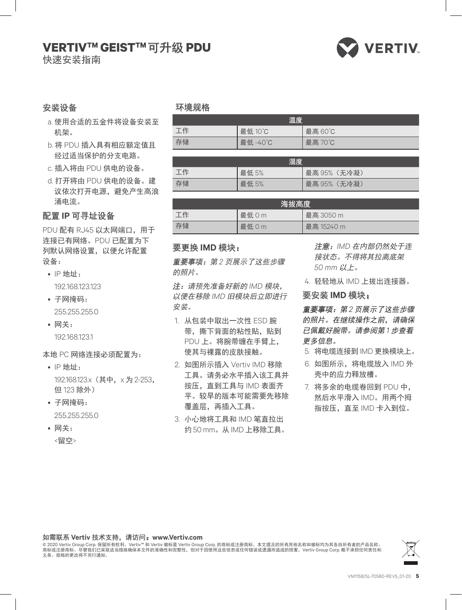## **VERTIVTM GEISTTM** 可升级 **PDU**



快速安装指南

## 安装设备

- a. 使用合适的五金件将设备安装至 机架。
- b. 将 PDU 插入具有相应额定值且 经过适当保护的分支电路。
- c. 插入将由 PDU 供电的设备。
- d. 打开将由 PDU 供电的设备。建 议依次打开电源,避免产生高浪 涌电流。

## 配置 **IP** 可寻址设备

PDU 配有 RJ45 以太网端口, 用于 连接已有网络。PDU 已配置为下 列默认网络设置,以便允许配置 设备:

- IP 地址: 192.168.123.123
- 子网掩码: 255.255.255.0
- 网关: 192.168.123.1

#### 本地 PC 网络连接必须配置为:

- IP 地址: 192.168.123.x (其中, x 为 2-253, 但 123 除外)
- 子网掩码: 255.255.255.0
- 网关: <留空>

## 环境规格

| 温度 |          |         |
|----|----------|---------|
| 工作 | 最低 10°C  | 最高 60°C |
| 存储 | 最低 -40°C | 最高 70℃  |

| 湿度 |       |              |
|----|-------|--------------|
| 工作 | 最低 5% | 最高 95% (无冷凝) |
| 存储 | 最低 5% | 最高 95% (无冷凝) |

| 海拔高度 |      |            |
|------|------|------------|
| 工作   | 最低Om | 最高 3050 m  |
| 存储   | 最低Om | 最高 15240 m |

## 要更换 **IMD** 模块:

重要事项:第 *2* 页展示了这些步骤 的照片。

注:请预先准备好新的 *IMD* 模块, 以便在移除 *IMD* 旧模块后立即进行 安装。

- 1. 从包装中取出一次性 ESD 腕 带,撕下背面的粘性贴,贴到 PDU 上。将腕带缠在手臂上, 使其与裸露的皮肤接触。
- 2. 如图所示插入 Vertiv IMD 移除 工具。请务必水平插入该工具并 按压,直到工具与 IMD 表面齐 平。较早的版本可能需要先移除 覆盖层,再插入工具。
- 3. 小心地将工具和 IMD 笔直拉出 约 50 mm。从 IMD 上移除工具。

注意:*IMD* 在内部仍然处于连 接状态。不得将其拉离底架 *50 mm* 以上。

4. 轻轻地从 IMD 上拔出连接器。

#### 要安装 **IMD** 模块:

重要事项:第 *2* 页展示了这些步骤 的照片。在继续操作之前,请确保 已佩戴好腕带。请参阅第 *1* 步查看 更多信息。

- 5. 将电缆连接到 IMD 更换模块上。
- 6. 如图所示,将电缆放入 IMD 外 壳中的应力释放槽。
- 7. 将多余的电缆卷回到 PDU 中, 然后水平滑入 IMD。用两个拇 指按压,直至 IMD 卡入到位。

#### 如需联系 **Vertiv** 技术支持,请访问:**www.Vertiv.com**

© 2020 Vertiv Group Corp. 保留所有权利。Vertiv™ 和 Vertiv 徽标是 Vertiv Group Corp. 的商标或注册商标。本文提及的所有其他名称和徽标均为其各自所有者的产品名称、<br>商标或注册商标。尽管我们已采取适当措施确保本文件的准确性和完整性,但对于因使用这些信息或任何错误或遗漏而造成的损害,Vertiv Group Corp. 概不承担任何责任和<br>义务。规格的更改将不另行通知。

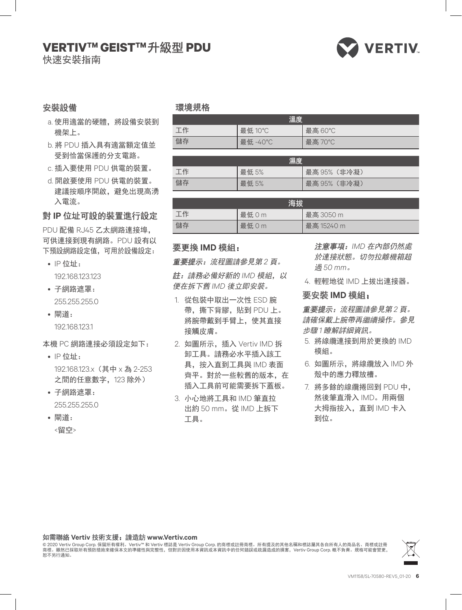## **VERTIVTM GEISTTM** 升級型 **PDU**



快速安裝指南

## 安裝設備

- a. 使用適當的硬體, 將設備安裝到 機架上。
- b. 將 PDU 插入具有適當額定值並 受到恰當保護的分支電路。
- c. 插入要使用 PDU 供電的裝置。
- d. 開啟要使用 PDU 供電的裝置。 建議按順序開啟,避免出現高湧 入電流。

## 對 **IP** 位址可設的裝置進行設定

PDU 配備 RJ45 乙太網路連接埠, 可供連接到現有網路。PDU 設有以 下預設網路設定值,可用於設備設定:

- IP 位址: 192.168.123.123
- 子網路遮罩: 255.255.255.0
- 閘道: 192.168.123.1
- 本機 PC 網路連接必須設定如下:
	- IP 位址: 192.168.123.x(其中 x 為 2-253 之間的任意數字,123 除外)
	- 子網路遮罩: 255.255.255.0
	- 閘道: <留空>

#### 環境規格

| 溫度 |         |         |  |
|----|---------|---------|--|
| 工作 | 最低 10°C | 最高 60°C |  |
| 儲存 | 最低 -40℃ | 最高 70°C |  |

| 濕度 |       |              |
|----|-------|--------------|
| 工作 | 最低 5% | 最高 95% (非冷凝) |
| 儲存 | 最低 5% | 最高 95% (非冷凝) |

| 海拔 |      |            |
|----|------|------------|
| 工作 | 最低Om | 最高 3050 m  |
| 儲存 | 最低Om | 最高 15240 m |

#### 要更換 **IMD** 模組:

重要提示:流程圖請參見第 *2* 頁。

註:請務必備好新的 *IMD* 模組,以 便在拆下舊 *IMD* 後立即安裝。

- 1. 從包裝中取出一次性 ESD 腕 帶,撕下背膠,貼到 PDU 上。 將腕帶戴到手臂上,使其直接 接觸皮膚。
- 2. 如圖所示,插入 Vertiv IMD 拆 卸工具。請務必水平插入該工 具,按入直到工具與 IMD 表面 齊平。對於一些較舊的版本,在 插入工具前可能需要拆下蓋板。
- 3. 小心地將工具和 IMD 筆直拉 出約 50 mm。從 IMD 上拆下 工具。
- 注意事項:*IMD* 在內部仍然處 於連接狀態。切勿拉離機箱超 過 *50 mm*。
- 4. 輕輕地從 IMD 上拔出連接器。

#### 要安裝 **IMD** 模組:

重要提示:流程圖請參見第 *2* 頁。 請確保戴上腕帶再繼續操作。參見 步驟 *1* 瞭解詳細資訊。

- 5. 將線纜連接到用於更換的 IMD 模組。
- 6. 如圖所示,將線纜放入 IMD 外 殼中的應力釋放槽。
- 7. 將多餘的線纜捲回到 PDU 中, 然後筆直滑入 IMD。用兩個 大拇指按入,直到 IMD 卡入 到位。

#### 如需聯絡 **Vertiv** 技術支援:請造訪 **www.Vertiv.com**

© 2020 Vertiv Group Corp. 保留所有權利。Vertiv™ 和 Vertiv 標誌是 Vertiv Group Corp. 的商標或註冊商標。所有提及的其他名稱和標誌屬其各自所有人的商品名、商標或註冊<br>商標。雖然已採取所有預防措施來確保本文的準確性與完整性,但對於因使用本資訊或本資訊中的任何錯誤或疏漏造成的損害,Vertiv Group Corp. 概不負責。規格可能會變更, 恕不另行通知。

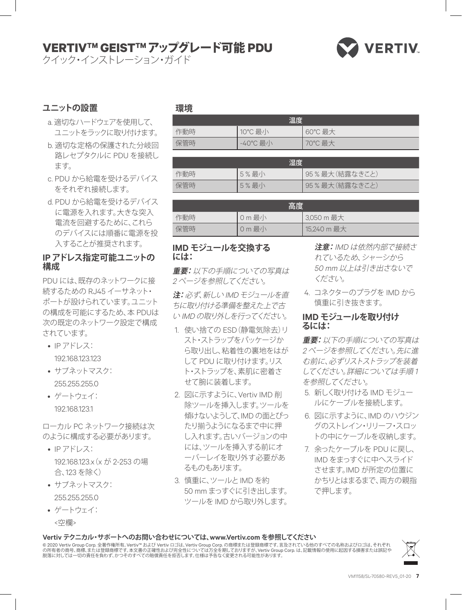# **VERTIVTM GEISTTM**アップグレード可能 **PDU**

クイック・インストレーション・ガイド



## **ユニットの設置**

- a. 適切なハードウェアを使用して、 ユニットをラックに取り付けます。
- b. 適切な定格の保護された分岐回 路レセプタクルに PDU を接続し ます。
- c. PDU から給電を受けるデバイス をそれぞれ接続します。
- d. PDU から給電を受けるデバイス に電源を入れます。大きな突入 電流を回避するために、これら のデバイスには順番に電源を投 入することが推奨されます。

## **IP アドレス指定可能ユニットの 構成**

PDU には、既存のネットワークに接 続するための RJ45 イーサネット・ ポートが設けられています。ユニット の構成を可能にするため、本 PDUは 次の既定のネットワーク設定で構成 されています。

• IP アドレス:

192.168.123.123

- サブネットマスク: 255.255.255.0
- ゲートウェイ: 192.168.123.1

ローカル PC ネットワーク接続は次 のように構成する必要があります。

- IP アドレス: 192.168.123.x(x が 2-253 の場 合、123 を除く)
- サブネットマスク: 255.255.255.0
- ゲートウェイ: <空欄>

#### **環境**

| 温度  |          |         |
|-----|----------|---------|
| 作動時 | 10°C 最小  | 60°C 最大 |
| 保管時 | -40°C 最小 | 70℃最大   |

| 湿度  |      |                |
|-----|------|----------------|
| 作動時 | 5%最小 | 95%最大 (結露なきこと) |
| 保管時 | 5%最小 | 95%最大(結露なきこと)  |

| 高度  |        |             |
|-----|--------|-------------|
| 作動時 | 0 m 最小 | 3,050 m 最大  |
| 保管時 | 0 m 最小 | 15,240 m 最大 |

## **IMD モジュールを交換する には:**

**重要:** 以下の手順についての写真は 2ページを参照してください。

**注:** 必ず、新しい IMD モジュールを直 ちに取り付ける準備を整えた上で古 い IMD の取り外しを行ってください。

- 1. 使い捨ての ESD(静電気除去)リ スト・ストラップをパッケージか ら取り出し、粘着性の裏地をはが して PDU に取り付けます。リス ト・ストラップを、素肌に密着さ せて腕に装着します。
- 2. 図に示すように、Vertiv IMD 削 除ツールを挿入します。ツールを 傾けないようして、IMD の面とぴっ たり揃うようになるまで中に押 し入れます。古いバージョンの中 には、ツールを挿入する前にオ ーバーレイを取り外す必要があ るものもあります。
- 3. 慎重に、ツールと IMD を約 50 mm まっすぐに引き出します。 ツールを IMD から取り外します。

**注意:** IMD は依然内部で接続さ れているため、シャーシから 50 mm 以上は引き出さないで ください。

4. コネクターのプラグを IMD から 慎重に引き抜きます。

## **IMD モジュールを取り付け るには:**

**重要:** 以下の手順についての写真は 2 ページを参照してください。先に進 む前に、必ずリストストラップを装着 してください。詳細については手順 1 を参照してください。

- 5. 新しく取り付ける IMD モジュー ルにケーブルを接続します。
- 6. 図に示すように、IMD のハウジン グのストレイン・リリーフ・スロッ トの中にケーブルを収納します。
- 7. 余ったケーブルを PDU に戻し、 IMD をまっすぐに中へスライド させます。IMD が所定の位置に かちりとはまるまで、両方の親指 で押します。

#### **Vertiv テクニカル・サポートへのお問い合わせについては、www.Vertiv.com を参照してください**

© 2020 Vertiv Group Corp.全著作権所有。Vertiv™ および Vertiv ロゴは、Vertiv Group Corp. の商標または登録商標です。言及されている他のすべての名称およびロゴは、それぞれ<br>の所有者の商号、商標、または登録商標です。本文書の正確性および完全性については万全を期しておりますが、Vertiv Group Corp. は、記載情報の使用に起因する損害または誤記や<br>脱落に対しては一切の責任

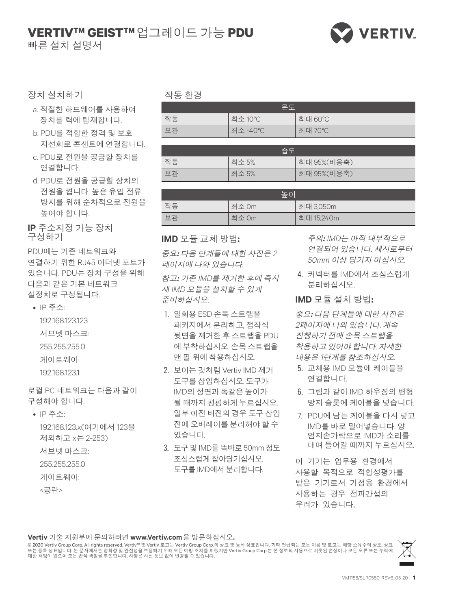# $\blacksquare$ VERTIV™ GEIST™ 업그레이드 가능 PDU

빠른 설치 설명서



#### 장치 설치하기

- a. 적절한 하드웨어를 사용하여 장치를 랙에 탑재합니다.
- b. PDU를 적합한 정격 및 보호 지선회로 콘센트에 연결합니다.
- c. PDU로 전원을 공급할 장치를 연결합니다.
- d. PDU로 전원을 공급할 장치의 전원을 켭니다. 높은 유입 전류 방지를 위해 순차적으로 전원을 높여야 합니다.

**IP** 주소지정 가능 장치 구성하기

PDU에는 기존 네트워크와 연결하기 위한 RJ45 이더넷 포트가 있습니다. PDU는 장치 구성을 위해 다음과 같은 기본 네트워크 설정치로 구성됩니다.

- IP 주소:
	- 192.168.123.123 서브넷 마스크: 255.255.255.0 게이트웨이: 192.168.123.1

로컬 PC 네트워크는 다음과 같이 구성해야 합니다.

• IP 주소:

192.168.123.x(여기에서 123을 제외하고 x는 2-253)

- 서브넷 마스크:
- 255.255.255.0
- 게이트웨이:
- <공란>

#### 작동 환경

| 오우 |          |         |
|----|----------|---------|
| 작동 | 최소 10℃   | 최대 60°C |
| 보관 | 최소 -40°C | 최대 70°C |

|    | 습도    |              |
|----|-------|--------------|
| 작동 | 최소 5% | 최대 95%(비응축)  |
| 보관 | 최소 5% | 최대 95% (비응축) |

| 높이 |       |            |
|----|-------|------------|
| 작동 | 최소 0m | 최대 3,050m  |
| 보과 | 최소 Om | 최대 15,240m |

#### **IMD** 모듈 교체 방법:

중요: 다음 단계들에 대한 사진은 2 페이지에 나와 있습니다.

참고: 기존 IMD를 제거한 후에 즉시 새 IMD 모듈을 설치할 수 있게 준비하십시오.

- 1. 일회용 ESD 손목 스트랩을 패키지에서 분리하고, 접착식 뒷면을 제거한 후 스트램을 PDU 에 부착하십시오. 손목 스트랩을 맨 팔 위에 착용하십시오.
- 2. 보이는 것처럼 Vertiv IMD 제거 도구를 삽입하십시오. 도구가 IMD의 정면과 똑같은 높이가 될 때까지 평평하게 누르십시오. 일부 이전 버전의 경우 도구 삽입 전에 오버레이를 분리해야 할 수 있습니다.
- 3. 도구 및 IMD를 똑바로 50mm 정도 조심스럽게 잡아당기십시오. 도구를 IMD에서 분리합니다.

주의: IMD는 아직 내부적으로 연결되어 있습니다. 섀시로부터 .50mm 이상 당기지 마십시오

4. 커넥터를 IMD에서 조심스럽게 부리하십시오.

#### **IMD** 모듈 설치 방법:

중요: 다음 단계들에 대한 사진은 2페이지에 나와 있습니다. 계속 진행하기 전에 손목 스트랩을 착용하고 있어야 합니다. 자세한 내용은 1단계를 참조하십시오.

- 5. 교체용 IMD 모듈에 케이블을 연결합니다.
- 6. 그림과 같이 IMD 하우징의 변형 방지 슬롯에 케이블을 넣습니다.
- 7. PDU에 남는 케이블을 다시 넣고 IMD를 바로 밀어넣습니다. 양 엄지손가락으로 IMD가 소리를 내며 들어갈 때까지 누르십시오.

이 기기는 업무용 환경에서 사용할 목적으로 적합성평가를 받은 기기로서 가정용 환경에서 사용하는 경우 전파가섭의 우려가 있습니다.

#### Vertiv 기술 지원부에 문의하려면 www.Vertiv.com 을 방문하십시오.

© 2020 Vertiv Group Corp. All rights reserved. Vertiv™ 및 Vertiv 로고는 Vertiv Group Corp.의 상표 및 등록 상표입니다. 기타 언급되는 모든 이름 및 로고는 해당 소유주의 상호, 상표<br>또는 등록 상표입니다. 본 문서에서는 정확성 및 완전성을 보장하기 위해 모든 예방 조치를 취했지만 Vertiv Group Corp.는 본 정보의 사용

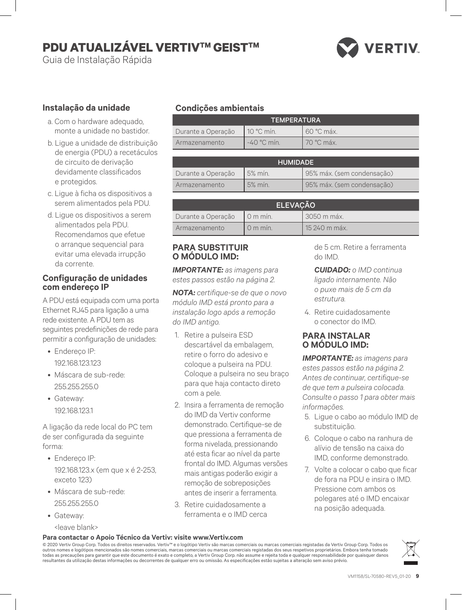# **PDU ATUALIZÁVEL VERTIV™ GEIST™**

Guia de Instalação Rápida

# **VERTIV**

## **Instalação da unidade**

- a. Com o hardware adequado, monte a unidade no bastidor.
- b. Ligue a unidade de distribuição de energia (PDU) a recetáculos de circuito de derivação devidamente classificados e protegidos.
- c. Ligue à ficha os dispositivos a serem alimentados pela PDU.
- d. Ligue os dispositivos a serem alimentados pela PDU. Recomendamos que efetue o arranque sequencial para evitar uma elevada irrupção da corrente.

#### **Configuração de unidades com endereço IP**

A PDU está equipada com uma porta Ethernet RJ45 para ligação a uma rede existente. A PDU tem as seguintes predefinições de rede para permitir a configuração de unidades:

- Endereço IP: 192.168.123.123
- Máscara de sub-rede: 255.255.255.0
- Gateway: 192.168.123.1

A ligação da rede local do PC tem de ser configurada da seguinte forma:

- Endereço IP: 192.168.123.x (em que x é 2-253, exceto 123)
- Máscara de sub-rede: 255.255.255.0
- Gateway:

<leave blank>

## **Condições ambientais**

| <b>TEMPERATURA</b> |                     |            |  |
|--------------------|---------------------|------------|--|
| Durante a Operação | $10^{\circ}$ C mín. | 60 °C máx. |  |
| Armazenamento      | $-40$ °C min.       | 70 °C máx. |  |

| <b>HUMIDADE</b>    |          |                            |
|--------------------|----------|----------------------------|
| Durante a Operação | $5%$ mín | 95% máx. (sem condensação) |
| Armazenamento      | $5%$ min | 95% máx. (sem condensação) |

| <b>ELEVACÃO</b>               |           |               |
|-------------------------------|-----------|---------------|
| Durante a Operação   0 m mín. |           | . 3050 m máx. |
| Armazenamento                 | $0m$ min. | 15 240 m máx. |

## **PARA SUBSTITUIR O MÓDULO IMD:**

*IMPORTANTE: as imagens para estes passos estão na página 2.*

*NOTA: certifique-se de que o novo módulo IMD está pronto para a instalação logo após a remoção do IMD antigo.*

- 1. Retire a pulseira ESD descartável da embalagem, retire o forro do adesivo e coloque a pulseira na PDU. Coloque a pulseira no seu braço para que haja contacto direto com a pele.
- 2. Insira a ferramenta de remoção do IMD da Vertiv conforme demonstrado. Certifique-se de que pressiona a ferramenta de forma nivelada, pressionando até esta ficar ao nível da parte frontal do IMD. Algumas versões mais antigas poderão exigir a remoção de sobreposições antes de inserir a ferramenta.
- 3. Retire cuidadosamente a ferramenta e o IMD cerca

de 5 cm. Retire a ferramenta do IMD.

- *CUIDADO: o IMD continua ligado internamente. Não o puxe mais de 5 cm da estrutura.*
- 4. Retire cuidadosamente o conector do IMD.

## **PARA INSTALAR O MÓDULO IMD:**

*IMPORTANTE: as imagens para estes passos estão na página 2. Antes de continuar, certifique-se de que tem a pulseira colocada. Consulte o passo 1 para obter mais informações.*

- 5. Ligue o cabo ao módulo IMD de substituição.
- 6. Coloque o cabo na ranhura de alívio de tensão na caixa do IMD, conforme demonstrado.
- 7. Volte a colocar o cabo que ficar de fora na PDU e insira o IMD. Pressione com ambos os polegares até o IMD encaixar na posição adequada.

#### **Para contactar o Apoio Técnico da Vertiv: visite www.Vertiv.com**

© 2020 Vertiv Group Corp. Todos os direitos reservados. Vertiv™ e o logótipo Vertiv são marcas comerciais ou marcas comerciais registadas da Vertiv Group Corp. Todos os outros nomes e logótipos mencionados são nomes comerciais, marcas comerciais ou marcas comerciais registadas dos seus respetivos proprietários. Embora tenha tomado<br>todas as precauções para garantir que este documento é exa resultantes da utilização destas informações ou decorrentes de qualquer erro ou omissão. As especificações estão sujeitas a alteração sem aviso prévio.

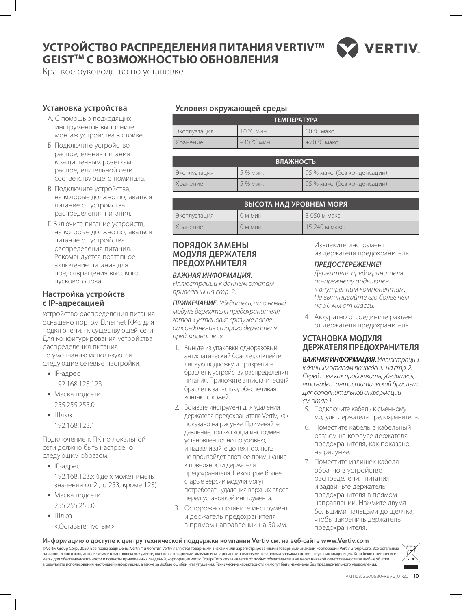## **УСТРОЙСТВО РАСПРЕДЕЛЕНИЯ ПИТАНИЯ VERTIVTM GEISTTM С ВОЗМОЖНОСТЬЮ ОБНОВЛЕНИЯ**



Краткое руководство по установке

#### **Установка устройства**

- А. С помощью подходящих инструментов выполните монтаж устройства в стойке.
- Б. Подключите устройство распределения питания к защищенным розеткам распределительной сети соответствующего номинала.
- В. Подключите устройства, на которые должно подаваться питание от устройства распределения питания.
- Г. Включите питание устройств, на которые должно подаваться питание от устройства распределения питания. Рекомендуется поэтапное включение питания для предотвращения высокого пускового тока.

#### **Настройка устройств с IP-адресацией**

Устройство распределения питания оснащено портом Ethernet RJ45 для подключения к существующей сети. Для конфигурирования устройства распределения питания по умолчанию используются следующие сетевые настройки.

- IP-адрес 192.168.123.123
- Маска подсети 255.255.255.0
- Шлюз 192.168.123.1

Подключение к ПК по локальной сети должно быть настроено следующим образом.

- IP-адрес 192.168.123.x (где x может иметь значения от 2 до 253, кроме 123)
- Маска подсети 255.255.255.0
- Шлюз
	- <Оставьте пустым>

#### **Условия окружающей среды**

|              | <b>ТЕМПЕРАТУРА</b> |                |
|--------------|--------------------|----------------|
| Эксплуатация | 10 °С мин.         | 1 60 °С макс.  |
| Хранение     | $-40$ °C мин.      | $+70$ °C макс. |

|              | <b>ВЛАЖНОСТЬ</b> |                              |
|--------------|------------------|------------------------------|
| Эксплуатация | 5 % мин.         | 95 % макс. (без конденсации) |
| Хранение     | 5 % мин.         | 95 % макс. (без конденсации) |

|              | ВЫСОТА НАД УРОВНЕМ МОРЯ |                 |
|--------------|-------------------------|-----------------|
| Эксплуатация | $()$ M MWH.             | . 3 050 м макс. |
| Хранение     | $()$ M M $U$ H.         | 15 240 м макс.  |

## **ПОРЯДОК ЗАМЕНЫ МОДУЛЯ ДЕРЖАТЕЛЯ ПРЕДОХРАНИТЕЛЯ**

#### *ВАЖНАЯ ИНФОРМАЦИЯ.*

*Иллюстрации к данным этапам приведены на стр. 2.*

*ПРИМЕЧАНИЕ. Убедитесь, что новый модуль держателя предохранителя готов к установке сразу же после отсоединения старого держателя предохранителя.*

- 1. Выньте из упаковки одноразовый антистатический браслет, отклейте липкую подложку и прикрепите браслет к устройству распределения питания. Приложите антистатический браслет к запястью, обеспечивая контакт с кожей.
- 2. Вставьте инструмент для удаления держателя предохранителя Vertiv, как показано на рисунке. Применяйте давление, только когда инструмент установлен точно по уровню, и надавливайте до тех пор, пока не произойдет плотное примыкание к поверхности держателя предохранителя. Некоторые более старые версии модуля могут потребовать удаления верхних слоев перед установкой инструмента.
- 3. Осторожно потяните инструмент и держатель предохранителя в прямом направлении на 50 мм.

Извлеките инструмент из держателя предохранителя.

#### *ПРЕДОСТЕРЕЖЕНИЕ!*

*Держатель предохранителя по-прежнему подключен к внутренним компонентам. Не вытягивайте его более чем на 50 мм от шасси.*

4. Аккуратно отсоедините разъем от держателя предохранителя.

#### **УСТАНОВКА МОДУЛЯ ДЕРЖАТЕЛЯ ПРЕДОХРАНИТЕЛЯ**

*ВАЖНАЯ ИНФОРМАЦИЯ. Иллюстрации к данным этапам приведены на стр. 2. Перед тем как продолжить, убедитесь, что надет антистатический браслет. Для дополнительной информации см. этап 1.*

- 5. Подключите кабель к сменному модулю держателя предохранителя.
- 6. Поместите кабель в кабельный разъем на корпусе держателя предохранителя, как показано на рисунке.
- 7. Поместите излишек кабеля обратно в устройство распределения питания и задвиньте держатель предохранителя в прямом направлении. Нажмите двумя большими пальцами до щелчка, чтобы закрепить держатель предохранителя.

#### **Информацию о доступе к центру технической поддержки компании Vertiv см. на веб-сайте www.Vertiv.com**

© Vertiv Group Corp., 2020. Все права защищены. Vertiv™ и логотип Vertiv являются товарными ли зарегистрированными товарными знаками корпорации Vertiv Group Corp. Все остальн названия и логотипы, используемые в настоящем документе, являются товарными знаками или зарегистрированными товарными знаками соответствующих владельцев. Хотя были приняты все меры для обеспечения точности и полноты приведенных сведений, корпорация Vertiv Group Corp. отказывается от любых обязательств и не несет никакой ответственности за любые убытки в результате использования настоящей информации, а также за любые ошибки или упущения. Технические характеристики могут быть изменены без предварительного уведомления.

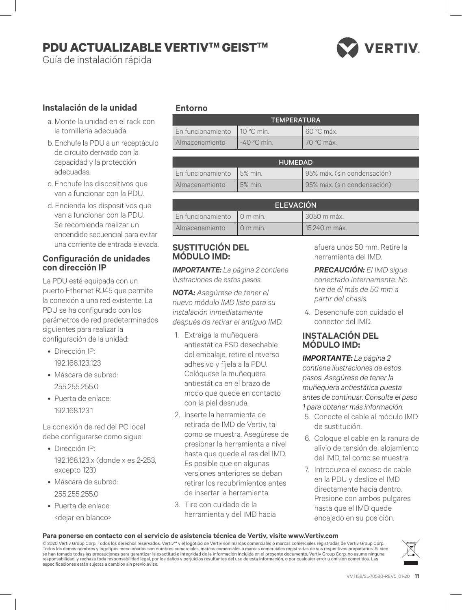# **PDU ACTUALIZABLE VERTIVTM GEISTTM**

Guía de instalación rápida



## **Instalación de la unidad**

- a. Monte la unidad en el rack con la tornillería adecuada.
- b. Enchufe la PDU a un receptáculo de circuito derivado con la capacidad y la protección adecuadas.
- c. Enchufe los dispositivos que van a funcionar con la PDU.
- d. Encienda los dispositivos que van a funcionar con la PDU. Se recomienda realizar un encendido secuencial para evitar una corriente de entrada elevada.

#### **Configuración de unidades con dirección IP**

La PDU está equipada con un puerto Ethernet RJ45 que permite la conexión a una red existente. La PDU se ha configurado con los parámetros de red predeterminados siguientes para realizar la configuración de la unidad:

- Dirección IP: 192.168.123.123
- Máscara de subred: 255.255.255.0
- Puerta de enlace: 192.168.123.1

La conexión de red del PC local debe configurarse como sigue:

- Dirección IP: 192.168.123.x (donde x es 2-253, excepto 123)
- Máscara de subred: 255.255.255.0
- Puerta de enlace: <dejar en blanco>

## **Entorno**

|                                | <b>TEMPERATURA</b> |              |
|--------------------------------|--------------------|--------------|
| En funcionamiento   10 °C mín. |                    | 60 °C máx.   |
| Almacenamiento                 | $-40$ °C min.      | l 70 °C máx. |

|                           | <b>HUMEDAD</b> |                             |
|---------------------------|----------------|-----------------------------|
| En funcionamiento 5% mín. |                | 95% máx. (sin condensación) |
| Almacenamiento            | $5%$ mín.      | 95% máx. (sin condensación) |

|                              | <b>ELEVACIÓN</b>   |               |
|------------------------------|--------------------|---------------|
| En funcionamiento   0 m mín. |                    | 3050 m máx.   |
| Almacenamiento               | $10 \text{ m min}$ | 15.240 m máx. |

## **SUSTITUCIÓN DEL MÓDULO IMD:**

*IMPORTANTE: La página 2 contiene ilustraciones de estos pasos.*

*NOTA: Asegúrese de tener el nuevo módulo IMD listo para su instalación inmediatamente después de retirar el antiguo IMD.*

- 1. Extraiga la muñequera antiestática ESD desechable del embalaje, retire el reverso adhesivo y fíjela a la PDU. Colóquese la muñequera antiestática en el brazo de modo que quede en contacto con la piel desnuda.
- 2. Inserte la herramienta de retirada de IMD de Vertiv, tal como se muestra. Asegúrese de presionar la herramienta a nivel hasta que quede al ras del IMD. Es posible que en algunas versiones anteriores se deban retirar los recubrimientos antes de insertar la herramienta.
- 3. Tire con cuidado de la herramienta y del IMD hacia

afuera unos 50 mm. Retire la herramienta del IMD.

*PRECAUCIÓN: El IMD sigue conectado internamente. No tire de él más de 50 mm a partir del chasis.*

4. Desenchufe con cuidado el conector del IMD.

## **INSTALACIÓN DEL MÓDULO IMD:**

*IMPORTANTE: La página 2 contiene ilustraciones de estos pasos. Asegúrese de tener la muñequera antiestática puesta antes de continuar. Consulte el paso 1 para obtener más información.*

- 5. Conecte el cable al módulo IMD de sustitución.
- 6. Coloque el cable en la ranura de alivio de tensión del alojamiento del IMD, tal como se muestra.
- 7. Introduzca el exceso de cable en la PDU y deslice el IMD directamente hacia dentro. Presione con ambos pulgares hasta que el IMD quede encajado en su posición.

#### **Para ponerse en contacto con el servicio de asistencia técnica de Vertiv, visite www.Vertiv.com**

© 2020 Vertiv Group Corp. Todos los derechos reservados. Vertiv™ y el logotipo de Vertiv son marcas comerciales o marcas comerciales registradas de Vertiv Group Corp. Todos los demás nombres y logotipos mencionados son nombres comerciales, marcas comerciales o marcas comerciales registradas de sus respectivos propietarios. Si bien se han tomado todas las precauciones para garantizar la exactitud e integridad de la información incluida en el presente documento, Vertiv Group Corp. no asume ninguna<br>responsabilidad, y rechaza toda responsabilidad legal, especificaciones están sujetas a cambios sin previo aviso.